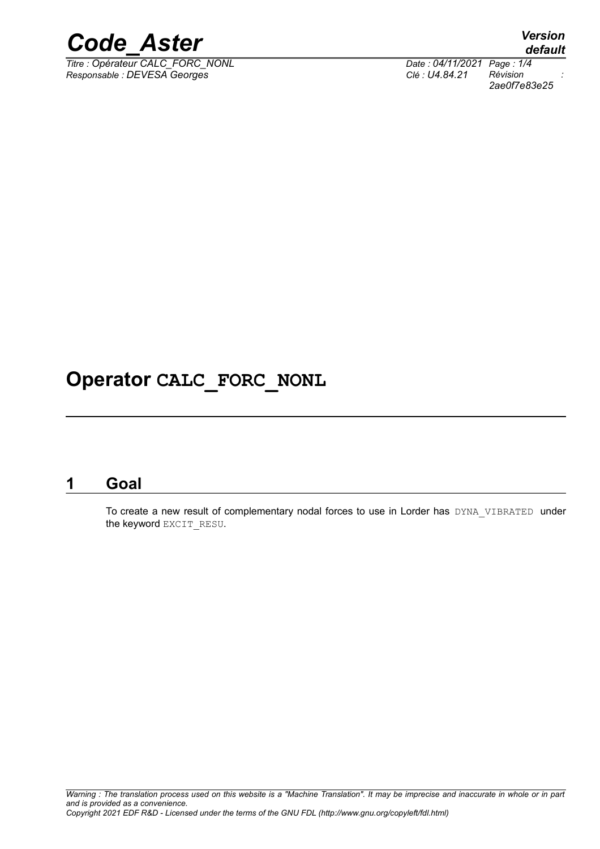

*Titre : Opérateur CALC\_FORC\_NONL Date : 04/11/2021 Page : 1/4*  $Responsible : DEVES \overline{G}$  *Georges* 

*default*<br>*Date*: 04/11/2021 Page: 1/4 *2ae0f7e83e25*

# **Operator CALC\_FORC\_NONL**

## **1 Goal**

To create a new result of complementary nodal forces to use in Lorder has DYNA\_VIBRATED under the keyword EXCIT\_RESU.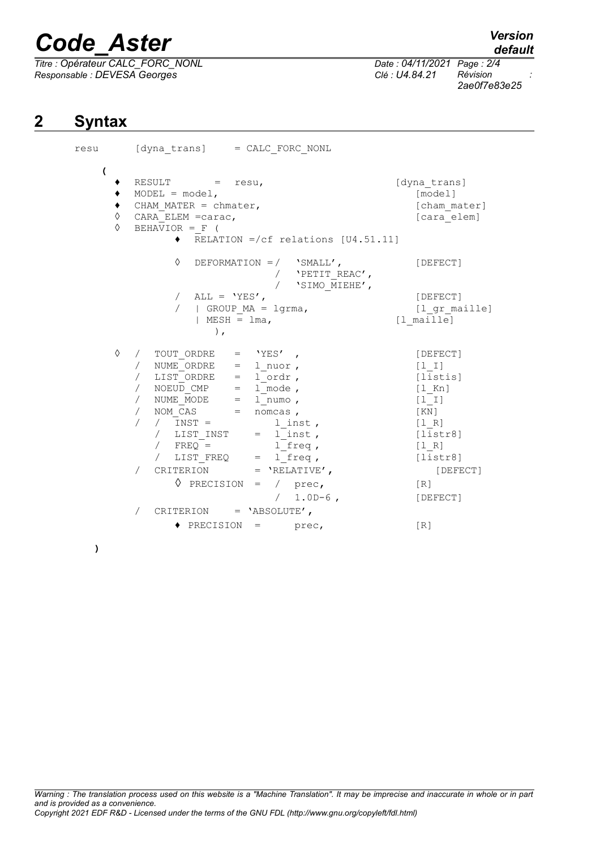# *Code\_Aster Version*

*Titre : Opérateur CALC\_FORC\_NONL Date : 04/11/2021 Page : 2/4 Responsable : DEVESA Georges Clé : U4.84.21 Révision :*

*default*

*2ae0f7e83e25*

# **2 Syntax**

resu [dyna\_trans] = CALC\_FORC\_NONL **(** ♦ RESULT = resu, [dyna\_trans]  $\bullet$  MODEL = model,  $[\text{model}]$ ◆ CHAM\_MATER = chmater,<br>
◇ CARA\_ELEM\_=carac. 
 [cham\_mater]  $\begin{array}{ll}\n\lozenge & \text{CARA} \quad \text{ELEM} = \text{carac}, \\
\lozenge & \text{BEHAVIOR} = F \quad (\n\end{array}$  $B E H A \overline{V} I O R = F$  (  $\overline{\text{RELATION}}$  =/cf relations [U4.51.11] ◊ DEFORMATION =/ 'SMALL', [DEFECT] /  $'$ PETIT\_REAC', / 'SIMO\_MIEHE', / ALL = 'YES', [DEFECT] / | GROUP\_MA = lgrma, [l\_gr\_maille]  $|$  MESH =  $lma$ ,  $[$  maille] ),  $\Diamond$  / TOUT ORDRE = 'YES' , / NUME<sup>T</sup>ORDRE = 1\_nuor , [1\_I]<br>/ LIST ORDRE = 1 ordr , [list  $\begin{array}{rcl} \text{/} & \text{LIST-ORDER} & = & \text{1--} \text{order} \text{,} \\ \text{/} & \text{NOEUD CMP} & = & \text{1-mode} \text{,} \end{array}$  [listis] /  $NOEU\overline{D}$   $CMP$  =  $1$  mode ,  $[1_Kn]$ <br>/  $NUME$   $MODE$  =  $1$  numo ,  $[1]$  $=$  l\_numo ,  $[1]$ <br>= nomcas ,  $[KN]$  $/$  NOM  $\overline{CAS}$  = nomcas ,  $[KN]$ / / INST = 1\_inst , [1\_R]<br>/ LIST INST = 1 inst , [1\_R] / LIST INST =  $\overline{l}$  inst,  $\overline{l}$  [listr8]  $/$  FREQ =  $l$  [freq ,  $[1_R]$ <br> $/$  LIST FREQ =  $l$  freq ,  $[1]$  $=$   $1$ <sup> $-$ </sup>freq , [listr8] / CRITERION = 'RELATIVE', [DEFECT]  $\sqrt{PRECISION} = / prec$ , [R] / 1.0D-6 , [DEFECT] / CRITERION = 'ABSOLUTE',  $\triangle$  PRECISION = prec,  $[R]$ 

**)**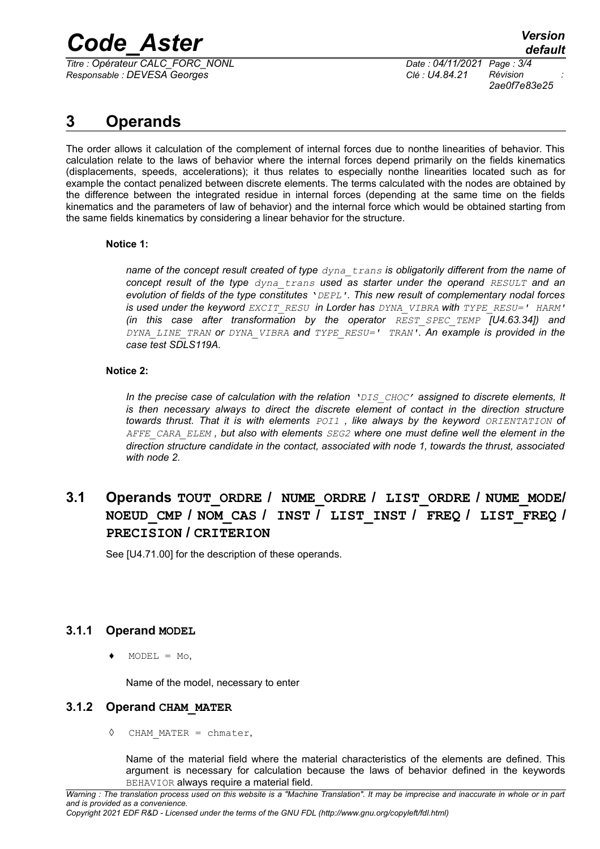# *Code\_Aster Version*

*Titre : Opérateur CALC\_FORC\_NONL Date : 04/11/2021 Page : 3/4 Responsable : DEVESA Georges Clé : U4.84.21 Révision :*

*2ae0f7e83e25*

# **3 Operands**

The order allows it calculation of the complement of internal forces due to nonthe linearities of behavior. This calculation relate to the laws of behavior where the internal forces depend primarily on the fields kinematics (displacements, speeds, accelerations); it thus relates to especially nonthe linearities located such as for example the contact penalized between discrete elements. The terms calculated with the nodes are obtained by the difference between the integrated residue in internal forces (depending at the same time on the fields kinematics and the parameters of law of behavior) and the internal force which would be obtained starting from the same fields kinematics by considering a linear behavior for the structure.

### **Notice 1:**

*name of the concept result created of type dyna\_trans is obligatorily different from the name of concept result of the type dyna\_trans used as starter under the operand RESULT and an evolution of fields of the type constitutes* '*DEPL'. This new result of complementary nodal forces is used under the keyword EXCIT\_RESU in Lorder has DYNA\_VIBRA with TYPE\_RESU=' HARM' (in this case after transformation by the operator REST\_SPEC\_TEMP [U4.63.34]) and DYNA\_LINE\_TRAN or DYNA\_VIBRA and TYPE\_RESU=' TRAN'. An example is provided in the case test SDLS119A.*

### **Notice 2:**

*In the precise case of calculation with the relation 'DIS\_CHOC' assigned to discrete elements, It is then necessary always to direct the discrete element of contact in the direction structure towards thrust. That it is with elements POI1 , like always by the keyword ORIENTATION of AFFE\_CARA\_ELEM , but also with elements SEG2 where one must define well the element in the direction structure candidate in the contact, associated with node 1, towards the thrust, associated with node 2.*

## **3.1 Operands TOUT\_ORDRE / NUME\_ORDRE / LIST\_ORDRE / NUME\_MODE/ NOEUD\_CMP / NOM\_CAS / INST / LIST\_INST / FREQ / LIST\_FREQ / PRECISION / CRITERION**

See [U4.71.00] for the description of these operands.

## **3.1.1 Operand MODEL**

 $MODEL = Mo,$ 

Name of the model, necessary to enter

## **3.1.2 Operand CHAM\_MATER**

◊ CHAM\_MATER = chmater,

Name of the material field where the material characteristics of the elements are defined. This argument is necessary for calculation because the laws of behavior defined in the keywords BEHAVIOR always require a material field.